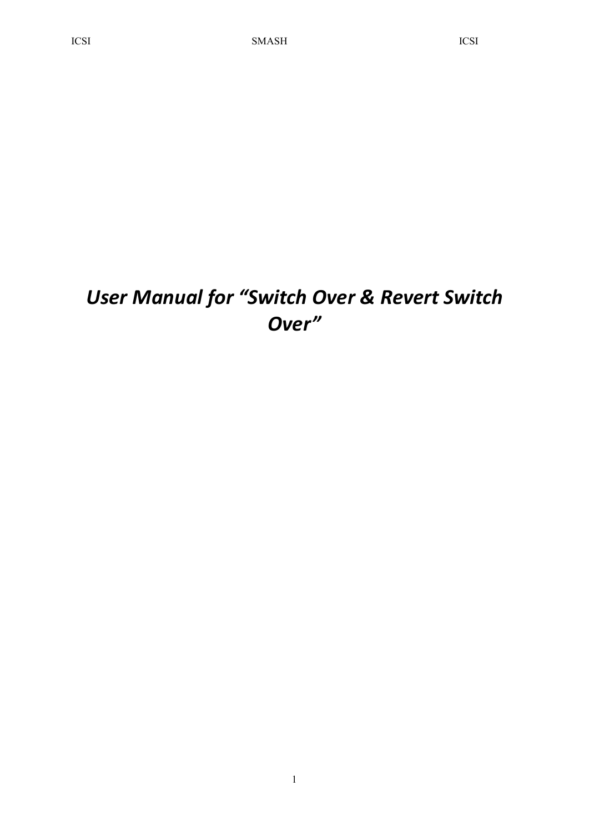# *User Manual for "Switch Over & Revert Switch Over"*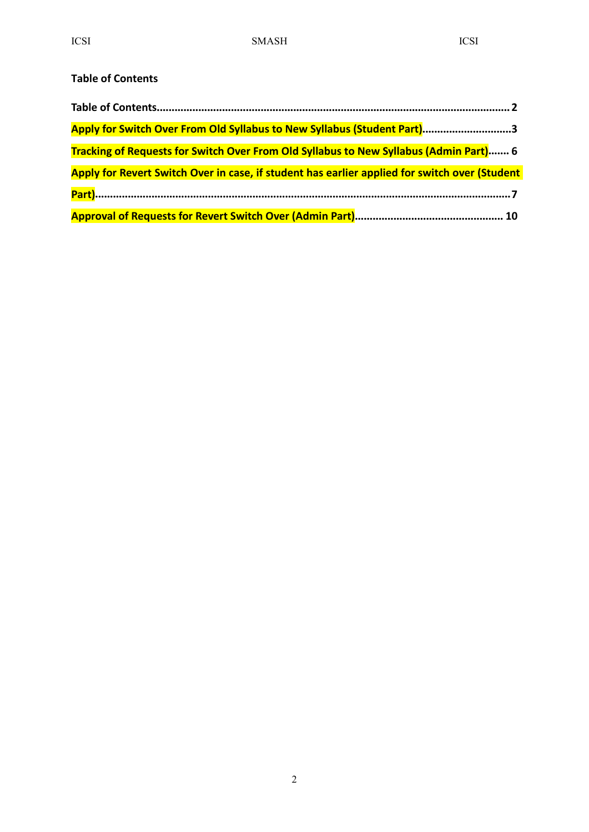#### <span id="page-1-0"></span>**Table of Contents**

| Apply for Switch Over From Old Syllabus to New Syllabus (Student Part)3                       |  |
|-----------------------------------------------------------------------------------------------|--|
| Tracking of Requests for Switch Over From Old Syllabus to New Syllabus (Admin Part) 6         |  |
| Apply for Revert Switch Over in case, if student has earlier applied for switch over (Student |  |
|                                                                                               |  |
|                                                                                               |  |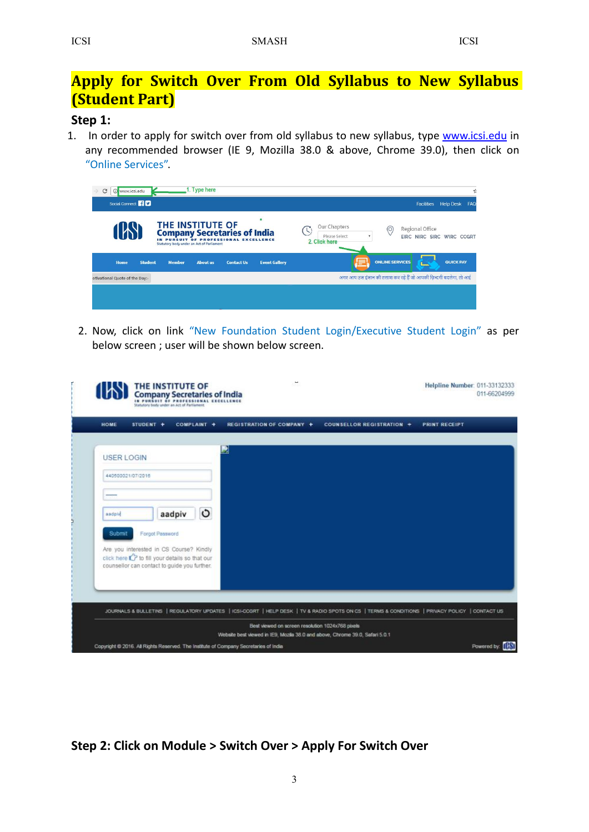## <span id="page-2-0"></span>**Apply for Switch Over From Old Syllabus to New Syllabus (Student Part)**

#### **Step 1:**

1. In order to apply for switch over from old syllabus to new syllabus, type [www.icsi.edu](http://www.icsi.edu) in any recommended browser (IE 9, Mozilla 38.0 & above, Chrome 39.0), then click on "Online Services".

| G | 10 www.icsi.edu                |                |                                                               | 1. Type here    |                                                                              |                      |                                                       |                                                                   |                                              |                             | 스   |
|---|--------------------------------|----------------|---------------------------------------------------------------|-----------------|------------------------------------------------------------------------------|----------------------|-------------------------------------------------------|-------------------------------------------------------------------|----------------------------------------------|-----------------------------|-----|
|   | Social Connect <b>1</b>        |                |                                                               |                 |                                                                              |                      |                                                       |                                                                   |                                              | <b>Facilities Help Desk</b> | FAQ |
|   |                                |                | THE INSTITUTE OF<br>Statutory body under an Act of Parliament |                 | <b>Company Secretaries of India</b><br>IN PURSUIT OF PROFESSIONAL EXCELLENCE | ۰                    | Our Chapters<br>(S)<br>Please Select<br>2. Click here | $\circledcirc$                                                    | Regional Office<br>EIRC NIRC SIRC WIRC CCGRT |                             |     |
|   | Home                           | <b>Student</b> | <b>Member</b>                                                 | <b>About us</b> | <b>Contact Us</b>                                                            | <b>Event Gallery</b> |                                                       | <b>ONLINE SERVICES</b>                                            |                                              | <b>QUICK PAY</b>            |     |
|   | otivational Quote of the Day:- |                |                                                               |                 |                                                                              |                      |                                                       | अगर आप उस इंसान की तलाश कर रहे हैं जो आपकी ज़िन्दगी बदलेगा, तो आई |                                              |                             |     |
|   |                                |                |                                                               |                 |                                                                              |                      |                                                       |                                                                   |                                              |                             |     |

2. Now, click on link "New Foundation Student Login/Executive Student Login" as per below screen ; user will be shown below screen.

| <b>REGISTRATION OF COMPANY +</b> | COUNSELLOR REGISTRATION + | <b>PRINT RECEIPT</b> |                                                                                                                                                |
|----------------------------------|---------------------------|----------------------|------------------------------------------------------------------------------------------------------------------------------------------------|
| 2                                |                           |                      |                                                                                                                                                |
|                                  |                           |                      |                                                                                                                                                |
|                                  |                           |                      |                                                                                                                                                |
|                                  |                           |                      |                                                                                                                                                |
|                                  |                           |                      |                                                                                                                                                |
|                                  |                           |                      |                                                                                                                                                |
|                                  |                           |                      |                                                                                                                                                |
|                                  |                           |                      |                                                                                                                                                |
|                                  |                           |                      |                                                                                                                                                |
|                                  |                           |                      | JOURNALS & BULLETINS   REGULATORY UPDATES   ICSI-CCGRT   HELP DESK   TV & RADIO SPOTS ON CS   TERMS & CONDITIONS   PRIVACY POLICY   CONTACT US |

**Step 2: Click on Module > Switch Over > Apply For Switch Over**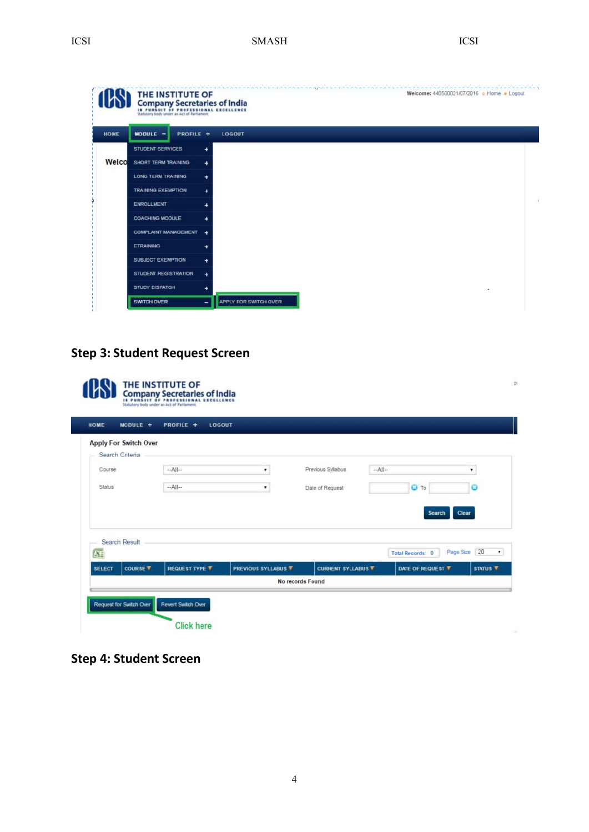ICSI SMASH ICSI SMASH ICSI

|       | THE INSTITUTE OF<br>Company Secretaries of India<br>IN PURSUIT OF PROFES<br>Statutory body under an Act of Parliament | <b>IONAL EXCELLENCE</b>    | Welcome: 440500021/07/2016 . Home . Logout |
|-------|-----------------------------------------------------------------------------------------------------------------------|----------------------------|--------------------------------------------|
| HOME  | $MODULE$ -<br>PROFILE +                                                                                               | LOGOUT                     |                                            |
|       | STUDENT SERVICES                                                                                                      | ۰                          |                                            |
| Welco | <b>SHORT TERM TRAINING</b>                                                                                            | ٠                          |                                            |
|       | <b>LONG TERM TRAINING</b>                                                                                             | ٠                          |                                            |
|       | <b>TRAINING EXEMPTION</b>                                                                                             | ٠                          |                                            |
|       | <b>ENROLLMENT</b>                                                                                                     | ۰                          |                                            |
|       | <b>COACHING MODULE</b>                                                                                                | ٠                          |                                            |
|       | COMPLAINT MANAGEMENT +                                                                                                |                            |                                            |
|       | <b>ETRAINING</b>                                                                                                      | ٠                          |                                            |
|       | SUBJECT EXEMPTION                                                                                                     | ٠                          |                                            |
|       | <b>STUDENT REGISTRATION</b>                                                                                           | $\ddot{\phantom{1}}$       |                                            |
|       | <b>STUDY DISPATCH</b>                                                                                                 | ٠                          |                                            |
|       | <b>SWITCH OVER</b>                                                                                                    | APPLY FOR SWITCH OVER<br>- |                                            |

## **Step 3: Student Request Screen**

 $\sim$ 

| HOME                      | $MODULE +$                   | PROFILE +<br>LOGOUT   |                            |                           |      |                         |              |                     |
|---------------------------|------------------------------|-----------------------|----------------------------|---------------------------|------|-------------------------|--------------|---------------------|
|                           | <b>Apply For Switch Over</b> |                       |                            |                           |      |                         |              |                     |
| Course                    | Search Criteria              | $-A$                  | ٠,                         | Previous Syllabus         | $-A$ |                         |              | ٠                   |
| Status                    |                              | $-A$ ll--             | ۰                          | Date of Request           |      | <b>O</b> To             |              | $\bullet$           |
|                           |                              |                       |                            |                           |      |                         |              |                     |
|                           |                              |                       |                            |                           |      | Search                  | Clear        |                     |
|                           | Search Result                |                       |                            |                           |      |                         |              |                     |
| $\overline{\mathbf{X}_1}$ |                              |                       |                            |                           |      | <b>Total Records: 0</b> | Page Size 20 | $\pmb{\mathrm{v}}$  |
| <b>SELECT</b>             | <b>COURSE T</b>              | <b>REQUEST TYPE T</b> | <b>PREVIOUS SYLLABUS T</b> | <b>CURRENT SYLLABUS T</b> |      | DATE OF REQUEST T       |              | STATUS <sup>T</sup> |
|                           |                              |                       |                            | No records Found          |      |                         |              |                     |

**Step 4: Student Screen**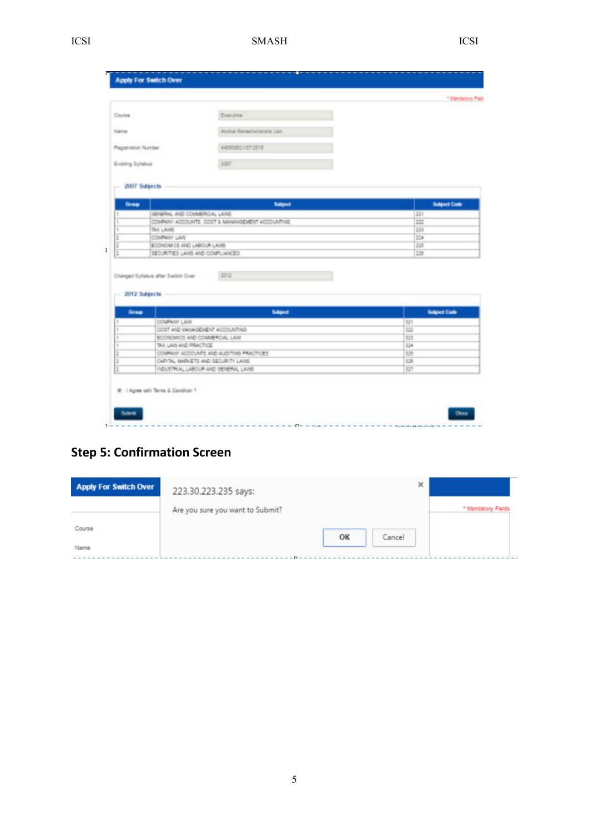#### ICSI SMASH ICSI SMASH ICSI

| M. | v  |
|----|----|
| ۰. | ۰. |
|    |    |
|    |    |

| Course                   |                                                                          | Concultive                |                     |
|--------------------------|--------------------------------------------------------------------------|---------------------------|---------------------|
| <b>Tübrish</b>           |                                                                          | Andral Romerts/Jondra 288 |                     |
|                          |                                                                          |                           |                     |
| <b>Magainston Number</b> |                                                                          | 44050021072018            |                     |
| Existing Syllabus        |                                                                          | 1007                      |                     |
| 2007 Subjects            |                                                                          |                           |                     |
| Graup                    |                                                                          | Sabject                   | <b>Subject Code</b> |
|                          | GENERAL AND COMMERCIAL LANS                                              |                           | 321                 |
|                          |                                                                          | 甜                         |                     |
|                          | COMPANY ACCOUNTS. COST & MANAHOEMENT ACCOUNTING                          |                           |                     |
|                          | <b>DUI LAVIS</b>                                                         |                           | 223                 |
|                          | COMPANY LAW                                                              |                           | 224                 |
|                          | ECONOMICS AND LABOUR LAVIS<br>SECURITIES LAINS AND COMPLIANCES           |                           | ïЭ<br>128           |
|                          | Changed Sylvisus after Switch Over                                       | 3252                      |                     |
| $-2012$ Subjects         |                                                                          |                           |                     |
| Grasp                    |                                                                          | <b>Subject</b>            | Subject Code        |
|                          | COMPANY LAVE                                                             |                           | 321                 |
|                          | DATING OOK THRANGHAM GAS TOOLS                                           |                           | 123                 |
|                          | ECONOMICS AND COMMERCIAL LAW                                             |                           | 323                 |
|                          | TAX LAW AND PRACTICE                                                     |                           | 554                 |
|                          | COMPANY ACCOUNTS AND AUDITING PRACTICES.                                 |                           | 129                 |
|                          | CAPITAL MARKETS AND SECURITY LAVIS<br>INDUSTRIAL LABOUR AND OENERAL LAWS |                           | 126<br>127          |

## **Step 5: Confirmation Screen**

| <b>Apply For Switch Over</b> | 223.30.223.235 says:             |    | ×      |                    |
|------------------------------|----------------------------------|----|--------|--------------------|
|                              | Are you sure you want to Submit? |    |        | * Mandatory Fields |
| Course                       |                                  | OK | Cancel |                    |
|                              |                                  |    |        |                    |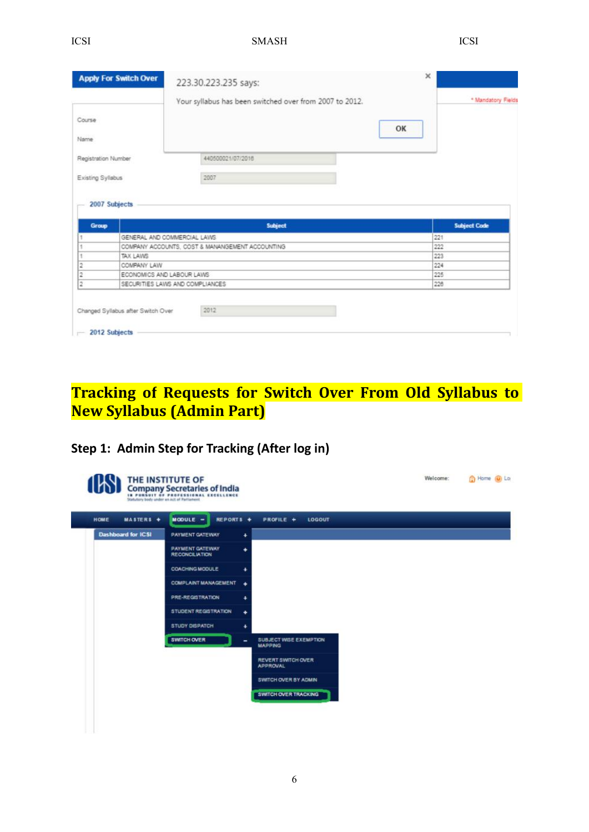<span id="page-5-0"></span>

|                     | <b>Apply For Switch Over</b>                                 | 223.30.223.235 says:<br>Your syllabus has been switched over from 2007 to 2012. |    | * Mandatory Fields  |
|---------------------|--------------------------------------------------------------|---------------------------------------------------------------------------------|----|---------------------|
| Course<br>Name      |                                                              |                                                                                 | OK |                     |
| Registration Number |                                                              | 440500021/07/2016                                                               |    |                     |
| Existing Syllabus   |                                                              | 2007                                                                            |    |                     |
| 2007 Subjects       |                                                              |                                                                                 |    |                     |
| Group               |                                                              | <b>Subject</b>                                                                  |    | <b>Subject Code</b> |
|                     | GENERAL AND COMMERCIAL LAWS                                  |                                                                                 |    | 221                 |
|                     |                                                              | COMPANY ACCOUNTS, COST & MANANGEMENT ACCOUNTING                                 |    | 222                 |
|                     | TAX LAWS                                                     |                                                                                 |    | 223                 |
| 2                   | COMPANY LAW                                                  |                                                                                 |    | 224                 |
| 2                   | ECONOMICS AND LABOUR LAWS<br>SECURITIES LAWS AND COMPLIANCES |                                                                                 |    | 225<br>226          |

## **Tracking of Requests for Switch Over From Old Syllabus to New Syllabus (Admin Part)**

### **Step 1: Admin Step forTracking (After log in)**

| MASTERS +<br>HOME         | Statutory body under an Act of Parliament<br><b>REPORTS +</b><br>$MOOULE$ -<br>PROFILE +<br><b>LOGOUT</b> |  |
|---------------------------|-----------------------------------------------------------------------------------------------------------|--|
| <b>Dashboard for ICSI</b> | PAYMENT GATEWAY<br>$\ddot{}$                                                                              |  |
|                           | <b>PAYMENT GATEWAY</b><br>٠<br><b>RECONCILIATION</b>                                                      |  |
|                           | <b>COACHING MODULE</b><br>٠                                                                               |  |
|                           | <b>COMPLAINT MANAGEMENT</b><br>٠                                                                          |  |
|                           | PRE-REGISTRATION<br>$\ddotmark$                                                                           |  |
|                           | <b>STUDENT REGISTRATION</b><br>٠                                                                          |  |
|                           | <b>STUDY DISPATCH</b><br>۰                                                                                |  |
|                           | <b>SWITCH OVER</b><br><b>SUBJECT WISE EXEMPTION</b><br>۰<br><b>MAPPING</b>                                |  |
|                           | <b>REVERT SWITCH OVER</b><br><b>APPROVAL</b>                                                              |  |
|                           | SWITCH OVER BY ADMIN                                                                                      |  |
|                           | <b>SWITCH OVER TRACKING</b>                                                                               |  |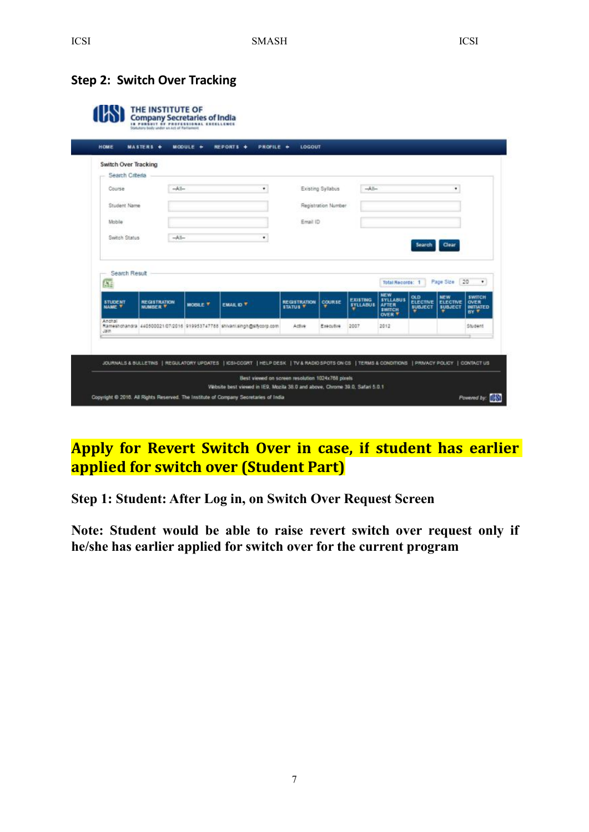#### <span id="page-6-0"></span>**Step 2: Switch Over Tracking**

|                                 | <b>MASTERS +</b>                              | $MODULE +$      | REPORTS +<br>PROFILE +                                                 | LOGOUT                                 |                     |                                    |                                                                   |                                                 |                                                 |                                                               |
|---------------------------------|-----------------------------------------------|-----------------|------------------------------------------------------------------------|----------------------------------------|---------------------|------------------------------------|-------------------------------------------------------------------|-------------------------------------------------|-------------------------------------------------|---------------------------------------------------------------|
| Switch Over Tracking            |                                               |                 |                                                                        |                                        |                     |                                    |                                                                   |                                                 |                                                 |                                                               |
| Search Criteria                 |                                               |                 |                                                                        |                                        |                     |                                    |                                                                   |                                                 |                                                 |                                                               |
| Course                          | $-A$ ll-                                      |                 | ٠                                                                      |                                        | Existing Syllabus   | $-A  $                             |                                                                   |                                                 | ۰                                               |                                                               |
| Student Name                    |                                               |                 |                                                                        |                                        | Registration Number |                                    |                                                                   |                                                 |                                                 |                                                               |
| Mobile                          |                                               |                 |                                                                        | Email ID                               |                     |                                    |                                                                   |                                                 |                                                 |                                                               |
|                                 |                                               |                 |                                                                        |                                        |                     |                                    |                                                                   |                                                 |                                                 |                                                               |
| Switch Status                   | $-A$                                          |                 | ۰                                                                      |                                        |                     |                                    |                                                                   |                                                 |                                                 |                                                               |
|                                 |                                               |                 |                                                                        |                                        |                     |                                    |                                                                   | Search                                          | Clear                                           |                                                               |
| Search Result<br>Æ              |                                               |                 |                                                                        |                                        |                     |                                    | <b>Total Records: 1</b><br><b>NEW</b>                             |                                                 | Page Size 20                                    |                                                               |
| <b>STUDENT</b><br><b>NAME Y</b> | <b><i>NEGISTRATION</i></b><br><b>NUMBER T</b> | <b>MOBILE T</b> | <b>EMAIL ID T</b>                                                      | <b>REGISTRATION</b><br><b>STATUS V</b> | <b>COURSE</b>       | <b>EXISTING</b><br><b>SYLLABUS</b> | <b>SYLLABUS</b><br><b>AFTER</b><br><b>EWITCH</b><br><b>OVER T</b> | <b>OLD</b><br><b>ELECTIVE</b><br><b>SUBJECT</b> | <b>NEW</b><br><b>ELECTIVE</b><br><b>BUBJECT</b> | ٠<br><b>SWITCH</b><br><b>OVER</b><br><b>INITIATED</b><br>BY T |
| Anchal<br>Jan                   |                                               |                 | Rameshchandra 440500021/07/2016 919953747788 shivani.singh@sitvorp.com | Active                                 | Executive           | 2007                               | 2012                                                              |                                                 |                                                 | Student                                                       |
|                                 |                                               |                 |                                                                        |                                        |                     |                                    |                                                                   |                                                 |                                                 |                                                               |

## **Apply for Revert Switch Overin case, if student has earlier applied for switch over (Student Part)**

**Step 1: Student: After Log in, on Switch Over Request Screen**

**Note: Student would be able to raise revert switch over request only if he/she has earlier applied for switch overfor the current program**

7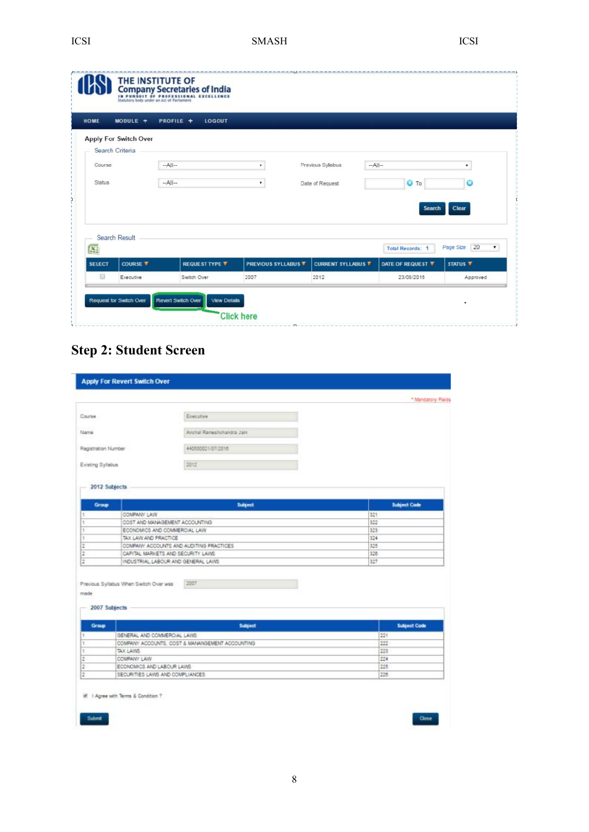| <b>HOME</b>               | MODULE +                     | <b>PROFILE +</b> | LOGOUT                |                            |                           |                       |                           |
|---------------------------|------------------------------|------------------|-----------------------|----------------------------|---------------------------|-----------------------|---------------------------|
|                           | <b>Apply For Switch Over</b> |                  |                       |                            |                           |                       |                           |
| Course                    | Search Criteria              | $-A$ ll--        | ۰                     | Previous Syllabus          | $-A$ ll--                 |                       | ۰                         |
| <b>Status</b>             |                              | $-A$ il-         | ۰                     | Date of Request            |                           | <b>O</b> To           | 0                         |
|                           |                              |                  |                       |                            |                           |                       |                           |
|                           | Search Result                |                  |                       |                            |                           | <b>Search</b>         | Clear                     |
| $\overline{\mathbf{X}}$ : |                              |                  |                       |                            |                           | <b>Total Records:</b> | Page Size 20<br>$\bullet$ |
| <b>SELECT</b>             | <b>COURSE T</b>              |                  | <b>REQUEST TYPE T</b> | <b>PREVIOUS SYLLABUS T</b> | <b>CURRENT SYLLABUS V</b> | DATE OF REQUEST ▼     | <b>STATUS T</b>           |
|                           |                              |                  |                       |                            |                           |                       |                           |

## **Step 2: Student Screen**

|                           |                                        |                                                 | * Mandatory Pleids  |
|---------------------------|----------------------------------------|-------------------------------------------------|---------------------|
| Course                    |                                        | Executive                                       |                     |
| Name                      |                                        | Anchal Rameshchandra Jain                       |                     |
|                           |                                        |                                                 |                     |
| Registration Number       |                                        | 440500021/07/2016                               |                     |
| Existing Syllabus         |                                        | 2012                                            |                     |
| 2012 Subjects             |                                        |                                                 |                     |
| Group                     |                                        | Subject                                         | <b>Subject Code</b> |
| ÷.                        | COMPANY LAW                            |                                                 | 321                 |
| ×                         |                                        | COST AND MANAGEMENT ACCOUNTING                  | 322                 |
| к                         | ECONOMICS AND COMMERCIAL LAW           |                                                 | 323                 |
| t                         | TAX LAW AND PRACTICE                   |                                                 | 324                 |
|                           |                                        |                                                 |                     |
|                           |                                        | COMPANY ACCOUNTS AND AUDITING PRACTICES.        | 325                 |
| 2<br>$\overline{a}$       |                                        | CAPITAL MARKETS AND SECURITY LAWS               | 328                 |
| $\overline{z}$            |                                        | INDUSTRIAL LABOUR AND GENERAL LAWS              | 327                 |
| 2007 Subjects             | Previous Syllabus When Switch Over was | 2007                                            |                     |
| made<br>Group<br>ĩ.       |                                        | <b>Subject</b>                                  | <b>Subject Code</b> |
|                           | GENERAL AND COMMERCIAL LAWS            |                                                 | 221                 |
|                           | TAX LAWS                               | COMPANY ACCOUNTS, COST & MANANGEMENT ACCOUNTING | 222<br>223          |
| ī<br>t.<br>$\overline{2}$ | COMPANY LAW                            |                                                 | 224                 |
| $\overline{2}$            | ECONOMICS AND LABOUR LAWS.             |                                                 | 225                 |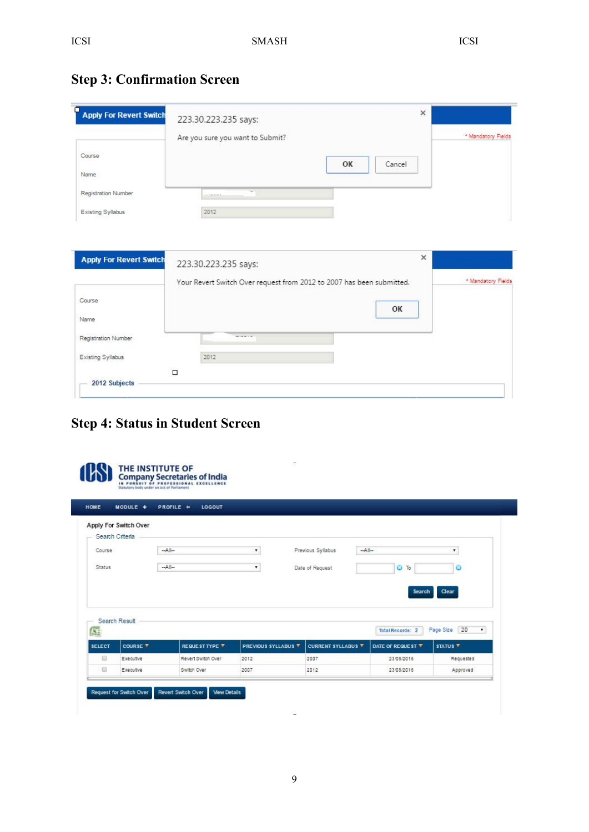| <b>Step 3: Confirmation Screen</b> |  |
|------------------------------------|--|
|------------------------------------|--|

| <b>Apply For Revert Switch</b>           | 223.30.223.235 says:<br>Are you sure you want to Submit?                                      |    |        | * Mandatory Fields |
|------------------------------------------|-----------------------------------------------------------------------------------------------|----|--------|--------------------|
| Course<br>Name                           |                                                                                               | OK | Cancel |                    |
| Registration Number                      | 1.1888888                                                                                     |    |        |                    |
| Existing Syllabus                        | 2012                                                                                          |    |        |                    |
|                                          |                                                                                               |    |        | $\times$           |
|                                          | 223.30.223.235 says:<br>Your Revert Switch Over request from 2012 to 2007 has been submitted. |    |        | * Mandatory Fields |
| <b>Apply For Revert Switch</b><br>Course |                                                                                               |    | OK     |                    |
| Name                                     |                                                                                               |    |        |                    |
| Registration Number                      | $-$                                                                                           |    |        |                    |
| Existing Syllabus                        | 2012                                                                                          |    |        |                    |

## **Step 4: Status in Student Screen**

|                           | MODULE +              | PROFILE +<br><b>LOGOUT</b> |                     |      |                           |         |                         |                     |                 |
|---------------------------|-----------------------|----------------------------|---------------------|------|---------------------------|---------|-------------------------|---------------------|-----------------|
|                           | Apply For Switch Over |                            |                     |      |                           |         |                         |                     |                 |
|                           | Search Criteria       |                            |                     |      |                           |         |                         |                     |                 |
| Course                    |                       | $-A  $                     | ۰                   |      | Previous Syllabus         | $-A  -$ |                         | ۰                   |                 |
| <b>Status</b>             |                       | $-A$                       | ۰.                  |      | Date of Request           |         | $O$ To                  |                     | ø               |
|                           |                       |                            |                     |      |                           |         |                         |                     |                 |
|                           |                       |                            |                     |      |                           |         | <b>Search</b>           | Clear               |                 |
|                           |                       |                            |                     |      |                           |         |                         |                     |                 |
|                           |                       |                            |                     |      |                           |         |                         |                     |                 |
|                           | Search Result         |                            |                     |      |                           |         |                         |                     |                 |
| $\overline{\mathbf{X}}$ : |                       |                            |                     |      |                           |         | <b>Total Records: 2</b> | Page Size           | 20<br>$\bullet$ |
| <b>SELECT</b>             | COURSE V              | REQUEST TYPE <b>V</b>      | PREVIOUS SYLLABUS V |      | <b>CURRENT SYLLABUS V</b> |         | DATE OF REQUEST ▼       | STATUS <sup>T</sup> |                 |
| $\qquad \qquad \Box$      | Executive             | Revert Switch Over         | 2012                | 2007 |                           |         | 23/08/2016              |                     | Requested       |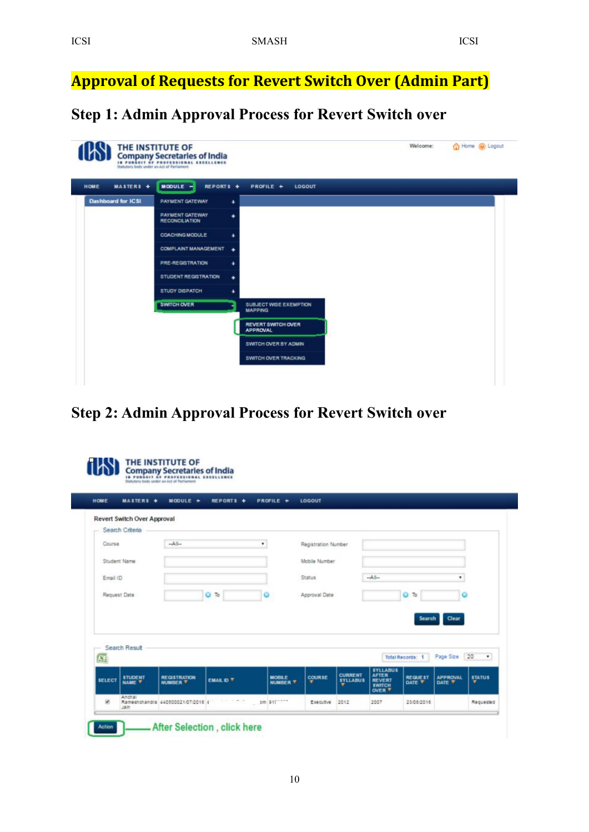<span id="page-9-0"></span>**Approval of Requests for Revert Switch Over (Admin Part)**

**Step 1: Admin Approval Process for Revert Switch over**

| MASTERS +<br>HOME         | $M O O U L E =$<br>REPORTS +                    |             | PROFILE +<br>LOGOUT                             |  |
|---------------------------|-------------------------------------------------|-------------|-------------------------------------------------|--|
| <b>Dashboard for ICSI</b> | <b>PAYMENT GATEWAY</b>                          | ۰           |                                                 |  |
|                           | <b>PAYMENT GATEWAY</b><br><b>RECONCILIATION</b> | ۰           |                                                 |  |
|                           | <b>COACHING MODULE</b>                          | $\ddotmark$ |                                                 |  |
|                           | <b>COMPLAINT MANAGEMENT</b>                     | ٠           |                                                 |  |
|                           | <b>PRE-REGISTRATION</b>                         | ۰           |                                                 |  |
|                           | STUDENT REGISTRATION                            | ۰           |                                                 |  |
|                           | <b>STUDY DISPATCH</b>                           | ۰           |                                                 |  |
|                           | <b>SWITCH OVER</b>                              |             | <b>SUBJECT WISE EXEMPTION</b><br><b>MAPPING</b> |  |
|                           |                                                 |             | <b>REVERT SWITCH OVER</b><br><b>APPROVAL</b>    |  |
|                           |                                                 |             | SWITCH OVER BY ADMIN                            |  |
|                           |                                                 |             | <b>SWITCH OVER TRACKING</b>                     |  |

**Step 2: Admin Approval Process for Revert Switch over**

|                             | <b>MASTERS +</b>                   | $M O O U L E$ +                        | <b>REPORTS +</b> | PROFILE +                        | LOGOUT              |                                        |                                                                                    |                          |                           |                    |
|-----------------------------|------------------------------------|----------------------------------------|------------------|----------------------------------|---------------------|----------------------------------------|------------------------------------------------------------------------------------|--------------------------|---------------------------|--------------------|
|                             | <b>Revert Switch Over Approval</b> |                                        |                  |                                  |                     |                                        |                                                                                    |                          |                           |                    |
|                             | Search Criteria                    |                                        |                  |                                  |                     |                                        |                                                                                    |                          |                           |                    |
| Course                      |                                    | $-A$                                   |                  | ٠                                | Registration Number |                                        |                                                                                    |                          |                           |                    |
|                             | Student Name                       |                                        |                  |                                  | Mobile Number       |                                        |                                                                                    |                          |                           |                    |
| Email ID                    |                                    |                                        |                  |                                  | Status              |                                        | $-A$                                                                               |                          | ۰                         |                    |
|                             | Request Date                       |                                        | ٥<br>To          |                                  | Approval Date       |                                        |                                                                                    | <b>C</b> To              |                           |                    |
|                             |                                    |                                        |                  |                                  |                     |                                        |                                                                                    |                          |                           |                    |
|                             |                                    |                                        |                  |                                  |                     |                                        |                                                                                    | <b>Search</b>            | Clear                     |                    |
|                             |                                    |                                        |                  |                                  |                     |                                        |                                                                                    |                          |                           |                    |
|                             |                                    |                                        |                  |                                  |                     |                                        |                                                                                    |                          |                           |                    |
|                             | Search Result                      |                                        |                  |                                  |                     |                                        |                                                                                    |                          |                           |                    |
| $\overline{\mathbf{X}_\pm}$ |                                    |                                        |                  |                                  |                     |                                        |                                                                                    | <b>Total Records: 1</b>  | Page Size 20              | $\bullet$          |
| <b>SELECT</b>               | <b>STUDENT</b><br><b>NAME T</b>    | <b>REGISTRATION</b><br><b>NUMBER T</b> | <b>EMAIL D T</b> | <b>MOBILE</b><br><b>NUMBER T</b> | <b>COURSE</b><br>▼  | <b>CURRENT</b><br><b>SYLLABUS</b><br>v | <b>SYLLABUS</b><br><b>AFTER</b><br><b>REVERT</b><br><b>SWITCH</b><br><b>OVER T</b> | <b>REQUEST</b><br>DATE T | <b>APPROVAL</b><br>DATE T | <b>STATUS</b><br>▼ |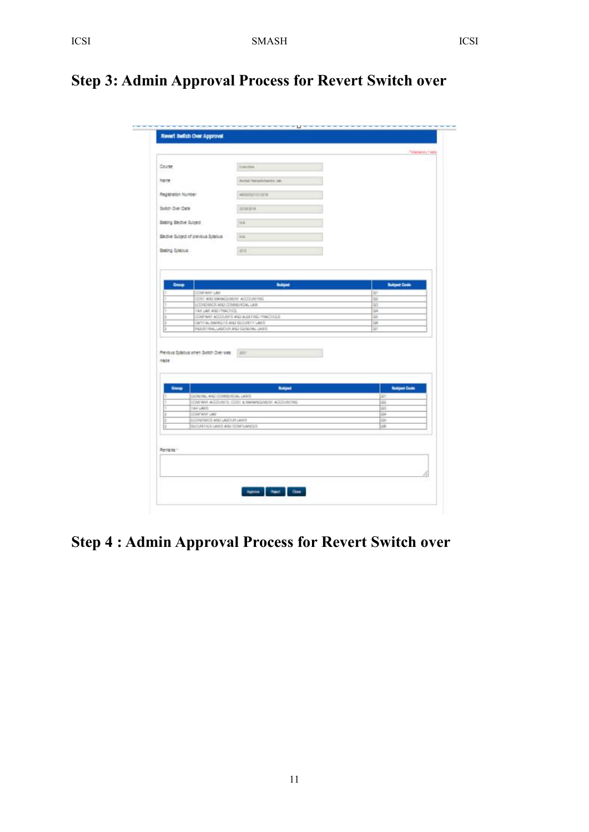## **Step 3: Admin Approval Process for Revert Switch over**

| Courte<br>Name<br>Registration Number<br>Butch Over Date<br>Being Becke Subject |                                       | Emilies .<br>Autrical Operationship Jak<br>ARTAILIUSTOVATIN |                    |
|---------------------------------------------------------------------------------|---------------------------------------|-------------------------------------------------------------|--------------------|
|                                                                                 |                                       |                                                             |                    |
|                                                                                 |                                       |                                                             |                    |
|                                                                                 |                                       |                                                             |                    |
|                                                                                 |                                       |                                                             |                    |
|                                                                                 |                                       | <b>IVIERIE</b>                                              |                    |
|                                                                                 |                                       | NA                                                          |                    |
|                                                                                 |                                       |                                                             |                    |
|                                                                                 | Beche Susject of previous Sylatius    | NA                                                          |                    |
| Exeting Sylebus                                                                 |                                       | 2012                                                        |                    |
| G                                                                               |                                       | PERRITTENL LASICIER AND GENERAL LAWIE                       | W                  |
| mate                                                                            | Previous Sylabus when Switch Over was | <b>INV</b>                                                  |                    |
|                                                                                 |                                       |                                                             |                    |
|                                                                                 |                                       |                                                             |                    |
| Group.                                                                          |                                       | <b>Bulgar</b>                                               | <b>Bulgar Code</b> |
|                                                                                 | GENERAL AND COMMENCIAL LAWS           |                                                             | 223                |
|                                                                                 |                                       | COMPANY ACCOUNTS, COST & MARANDIMENT ACCOUNTING             | 222                |
| Ŀ                                                                               | <b>FAX LAWS</b>                       |                                                             | A11                |
| Ŧ                                                                               | CONTANT LAN<br>EVOLUTION ON GONDALIST |                                                             | 234<br>226         |

## **Step 4 : Admin Approval Process for Revert Switch over**